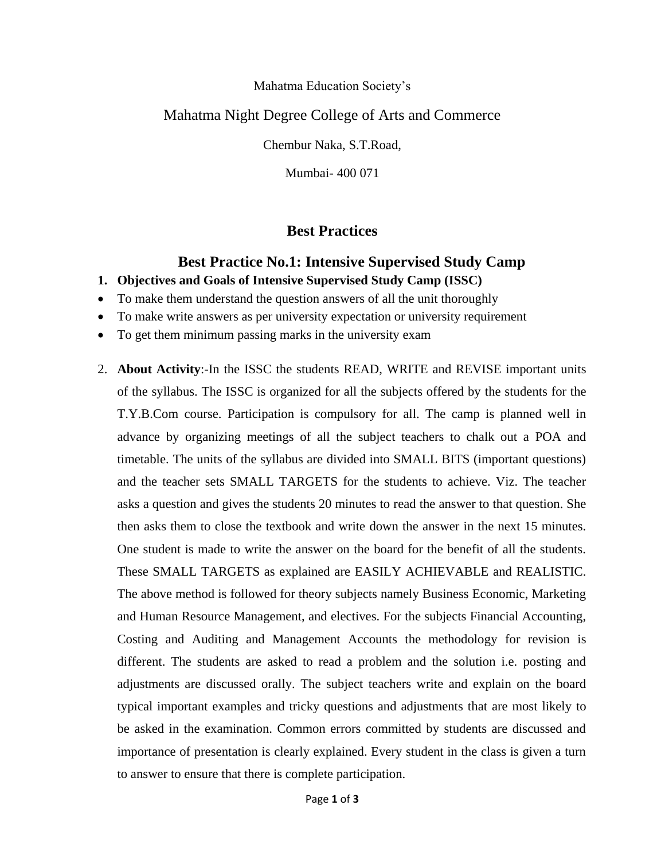#### Mahatma Education Society's

### Mahatma Night Degree College of Arts and Commerce

Chembur Naka, S.T.Road,

Mumbai- 400 071

### **Best Practices**

### **Best Practice No.1: Intensive Supervised Study Camp**

- **1. Objectives and Goals of Intensive Supervised Study Camp (ISSC)**
- To make them understand the question answers of all the unit thoroughly
- To make write answers as per university expectation or university requirement
- To get them minimum passing marks in the university exam
- 2. **About Activity**:-In the ISSC the students READ, WRITE and REVISE important units of the syllabus. The ISSC is organized for all the subjects offered by the students for the T.Y.B.Com course. Participation is compulsory for all. The camp is planned well in advance by organizing meetings of all the subject teachers to chalk out a POA and timetable. The units of the syllabus are divided into SMALL BITS (important questions) and the teacher sets SMALL TARGETS for the students to achieve. Viz. The teacher asks a question and gives the students 20 minutes to read the answer to that question. She then asks them to close the textbook and write down the answer in the next 15 minutes. One student is made to write the answer on the board for the benefit of all the students. These SMALL TARGETS as explained are EASILY ACHIEVABLE and REALISTIC. The above method is followed for theory subjects namely Business Economic, Marketing and Human Resource Management, and electives. For the subjects Financial Accounting, Costing and Auditing and Management Accounts the methodology for revision is different. The students are asked to read a problem and the solution i.e. posting and adjustments are discussed orally. The subject teachers write and explain on the board typical important examples and tricky questions and adjustments that are most likely to be asked in the examination. Common errors committed by students are discussed and importance of presentation is clearly explained. Every student in the class is given a turn to answer to ensure that there is complete participation.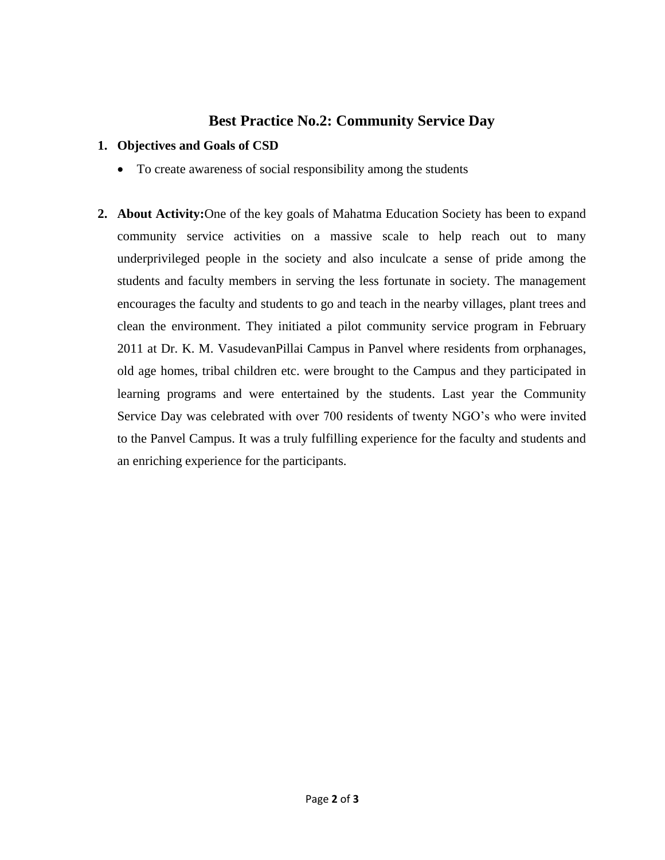## **Best Practice No.2: Community Service Day**

#### **1. Objectives and Goals of CSD**

- To create awareness of social responsibility among the students
- **2. About Activity:**One of the key goals of Mahatma Education Society has been to expand community service activities on a massive scale to help reach out to many underprivileged people in the society and also inculcate a sense of pride among the students and faculty members in serving the less fortunate in society. The management encourages the faculty and students to go and teach in the nearby villages, plant trees and clean the environment. They initiated a pilot community service program in February 2011 at Dr. K. M. VasudevanPillai Campus in Panvel where residents from orphanages, old age homes, tribal children etc. were brought to the Campus and they participated in learning programs and were entertained by the students. Last year the Community Service Day was celebrated with over 700 residents of twenty NGO's who were invited to the Panvel Campus. It was a truly fulfilling experience for the faculty and students and an enriching experience for the participants.